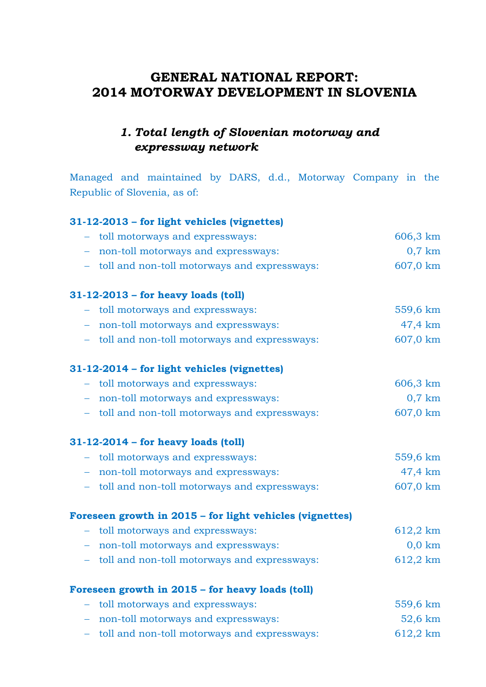# **GENERAL NATIONAL REPORT: 2014 MOTORWAY DEVELOPMENT IN SLOVENIA**

# *1. Total length of Slovenian motorway and expressway network*

Managed and maintained by DARS, d.d., Motorway Company in the Republic of Slovenia, as of:

### **31-12-2013 – for light vehicles (vignettes)**

| - toll motorways and expressways:                          | 606,3 km         |
|------------------------------------------------------------|------------------|
| non-toll motorways and expressways:<br>$\frac{1}{2}$       | $0,7$ km         |
| - toll and non-toll motorways and expressways:             | 607,0 km         |
| $31-12-2013$ – for heavy loads (toll)                      |                  |
| toll motorways and expressways:<br>$\frac{1}{2}$           | 559,6 km         |
| non-toll motorways and expressways:<br>$\frac{1}{2}$       | 47,4 km          |
| - toll and non-toll motorways and expressways:             | 607,0 km         |
| 31-12-2014 – for light vehicles (vignettes)                |                  |
| - toll motorways and expressways:                          | 606,3 km         |
| - non-toll motorways and expressways:                      | $0,7$ km         |
| - toll and non-toll motorways and expressways:             | 607,0 km         |
| 31-12-2014 - for heavy loads (toll)                        |                  |
| - toll motorways and expressways:                          | 559,6 km         |
| - non-toll motorways and expressways:                      | 47,4 km          |
| - toll and non-toll motorways and expressways:             | 607,0 km         |
| Foreseen growth in 2015 - for light vehicles (vignettes)   |                  |
| toll motorways and expressways:                            | 612,2 km         |
| - non-toll motorways and expressways:                      | $0,0 \text{ km}$ |
| - toll and non-toll motorways and expressways:             | 612,2 km         |
| Foreseen growth in 2015 - for heavy loads (toll)           |                  |
| toll motorways and expressways:<br>$\frac{1}{2}$           | 559,6 km         |
| non-toll motorways and expressways:<br>$\frac{1}{2}$       | 52,6 km          |
| toll and non-toll motorways and expressways:<br>$\equiv$ . | 612,2 km         |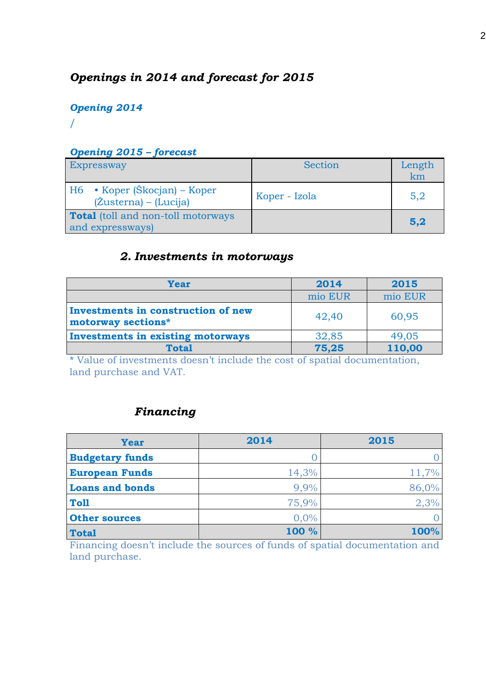# *Openings in 2014 and forecast for 2015*

## *Opening 2014* /

### *Opening 2015 – forecast*

| <b>Expressway</b>                                             | Section       | Length<br>km |
|---------------------------------------------------------------|---------------|--------------|
| $H6$ • Koper (Škocjan) – Koper<br>$(Z$ usterna) – $(Lucija)$  | Koper - Izola | 5,2          |
| <b>Total</b> (toll and non-toll motorways<br>and expressways) |               | 5,2          |

## *2. Investments in motorways*

| Year                                                     | 2014    | 2015    |  |  |
|----------------------------------------------------------|---------|---------|--|--|
|                                                          | mio EUR | mio EUR |  |  |
| Investments in construction of new<br>motorway sections* | 42,40   | 60,95   |  |  |
| <b>Investments in existing motorways</b>                 | 32,85   | 49,05   |  |  |
| <b>Total</b>                                             | 75,25   | 110,00  |  |  |

\* Value of investments doesn't include the cost of spatial documentation, land purchase and VAT.

# *Financing*

| <b>Year</b>            | 2014  | 2015  |
|------------------------|-------|-------|
| <b>Budgetary funds</b> |       |       |
| <b>European Funds</b>  | 14,3% | 11,7% |
| <b>Loans and bonds</b> | 9,9%  | 86,0% |
| Toll                   | 75,9% | 2,3%  |
| <b>Other sources</b>   | 0,0%  |       |
| <b>Total</b>           | 100 % | 100%  |

Financing doesn't include the sources of funds of spatial documentation and land purchase.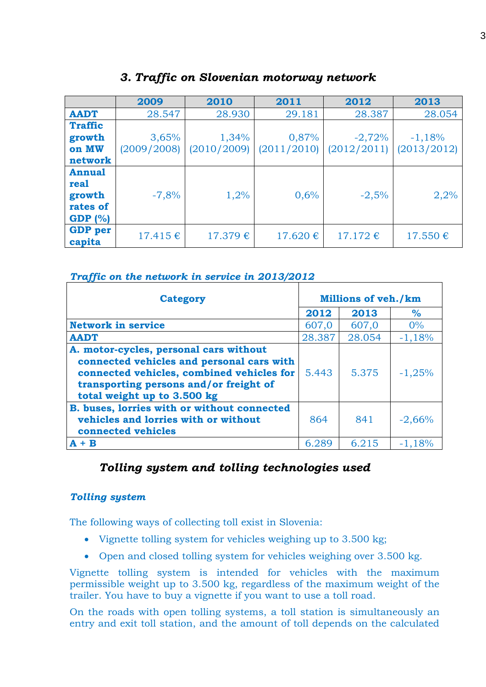|                | 2009         | 2010        | 2012<br>2011 |              | 2013         |
|----------------|--------------|-------------|--------------|--------------|--------------|
| <b>AADT</b>    | 28.547       | 28.930      | 29.181       | 28.387       | 28.054       |
| <b>Traffic</b> |              |             |              |              |              |
| growth         | 3,65%        | 1,34%       | 0,87%        | $-2,72%$     | $-1,18%$     |
| on MW          | (2009/2008)  | (2010/2009) | (2011/2010)  | (2012/2011)  | (2013/2012)  |
| network        |              |             |              |              |              |
| <b>Annual</b>  |              |             |              |              |              |
| real           |              |             |              |              |              |
| growth         | $-7,8%$      | 1,2%        | 0,6%         | $-2,5%$      | 2,2%         |
| rates of       |              |             |              |              |              |
| GDP $(% )$     |              |             |              |              |              |
| <b>GDP</b> per | $17.415 \in$ | 17.379€     | 17.620 €     | $17.172 \in$ | $17.550 \in$ |
| capita         |              |             |              |              |              |

### *3. Traffic on Slovenian motorway network*

#### *Traffic on the network in service in 2013/2012*

| <b>Category</b>                                                                                                                                                                                           | <b>Millions of veh./km</b> |        |          |  |
|-----------------------------------------------------------------------------------------------------------------------------------------------------------------------------------------------------------|----------------------------|--------|----------|--|
|                                                                                                                                                                                                           | 2012                       | 2013   | $\%$     |  |
| <b>Network in service</b>                                                                                                                                                                                 | 607,0                      | 607,0  | $0\%$    |  |
| <b>AADT</b>                                                                                                                                                                                               | 28.387                     | 28.054 | $-1,18%$ |  |
| A. motor-cycles, personal cars without<br>connected vehicles and personal cars with<br>connected vehicles, combined vehicles for<br>transporting persons and/or freight of<br>total weight up to 3.500 kg | 5.443                      | 5.375  | $-1,25%$ |  |
| B. buses, lorries with or without connected<br>vehicles and lorries with or without<br>connected vehicles                                                                                                 | 864                        | 841    | $-2,66%$ |  |
| $+ B$                                                                                                                                                                                                     | 6.289                      | 6.215  | $-1,18%$ |  |

## *Tolling system and tolling technologies used*

### *Tolling system*

The following ways of collecting toll exist in Slovenia:

- [Vignette tolling system](http://www.dars.si/Dokumenti/Toll/Toll_system_and_roads/Vignette_system_299.aspx) for vehicles weighing up to 3.500 kg;
- [Open](http://www.dars.si/Dokumenti/Toll/Toll_system_and_roads/Open_toll_system_300.aspx) and [closed](http://www.dars.si/Dokumenti/Toll/Toll_system_and_roads/Closed_toll_system_301.aspx) tolling system for vehicles weighing over 3.500 kg.

Vignette tolling system is intended for vehicles with the maximum permissible weight up to 3.500 kg, regardless of the maximum weight of the trailer. You have to buy a [vignette](http://www.dars.si/Dokumenti/Toll/Methods_of_payment/Vehicles_under_35_t/Vignette_308.aspx) if you want to use a toll road.

On the roads with open tolling systems, a toll station is simultaneously an entry and exit toll station, and the amount of toll depends on the calculated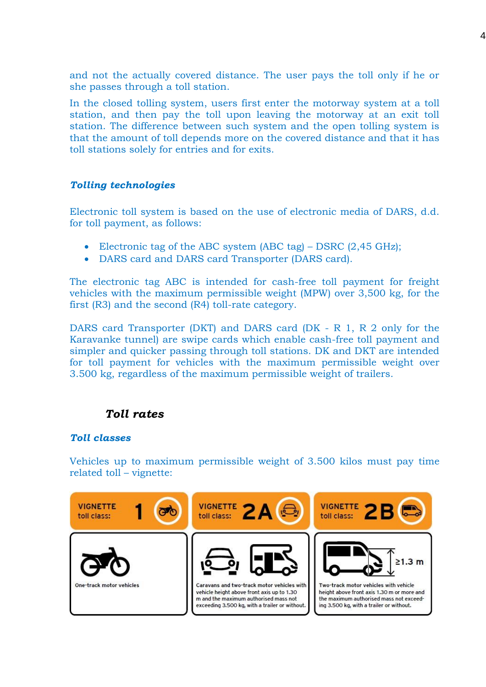and not the actually covered distance. The user pays the toll only if he or she passes through a toll station.

In the closed tolling system, users first enter the motorway system at a toll station, and then pay the toll upon leaving the motorway at an exit toll station. The difference between such system and the open tolling system is that the amount of toll depends more on the covered distance and that it has toll stations solely for entries and for exits.

#### *Tolling technologies*

Electronic toll system is based on the use of electronic media of DARS, d.d. for toll payment, as follows:

- [Electronic tag of the ABC system](http://www.dars.si/Dokumenti/Toll/Methods_of_payment/Vehicles_above_35_t/Electronic_media/ABC_tag_576.aspx) (ABC tag) DSRC (2,45 GHz);
- [DARS card and DARS card Transporter](http://www.dars.si/Dokumenti/Toll/Methods_of_payment/Vehicles_above_35_t/Electronic_media/DARS_Card_(DK/DKT)_577.aspx) (DARS card).

The electronic tag ABC is intended for cash-free toll payment for freight vehicles with the maximum permissible weight (MPW) over 3,500 kg, for the first (R3) and the second (R4) toll-rate category.

DARS card Transporter (DKT) and DARS card (DK - R 1, R 2 only for the Karavanke tunnel) are swipe cards which enable cash-free toll payment and simpler and quicker passing through toll stations. DK and DKT are intended for toll payment for vehicles with the maximum permissible weight over 3.500 kg, regardless of the maximum permissible weight of trailers.

### *Toll rates*

#### *Toll classes*

Vehicles up to maximum permissible weight of 3.500 kilos must pay time related toll – vignette:

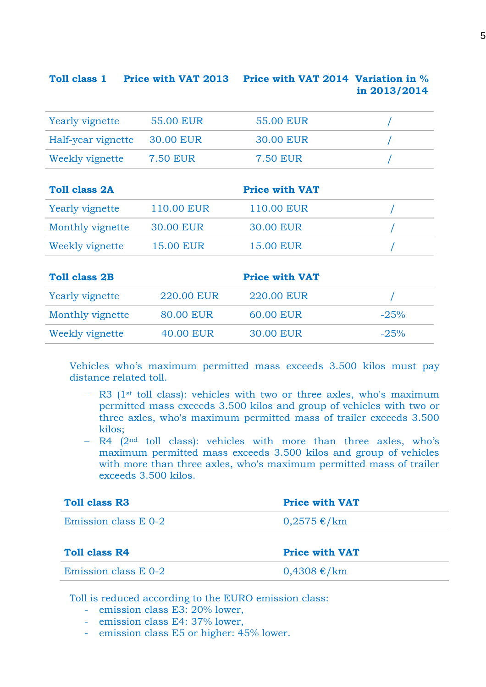| <b>Toll class 1</b>    | <b>Price with VAT 2013</b> | Price with VAT 2014 Variation in % | in 2013/2014 |
|------------------------|----------------------------|------------------------------------|--------------|
| <b>Yearly vignette</b> | <b>55.00 EUR</b>           | <b>55.00 EUR</b>                   |              |
| Half-year vignette     | <b>30.00 EUR</b>           | <b>30.00 EUR</b>                   |              |
| Weekly vignette        | <b>7.50 EUR</b>            | <b>7.50 EUR</b>                    |              |
| <b>Toll class 2A</b>   |                            | <b>Price with VAT</b>              |              |
| Yearly vignette        | 110.00 EUR                 | 110.00 EUR                         |              |
| Monthly vignette       | <b>30.00 EUR</b>           | <b>30.00 EUR</b>                   |              |
| Weekly vignette        | <b>15.00 EUR</b>           | <b>15.00 EUR</b>                   |              |
| <b>Toll class 2B</b>   |                            | <b>Price with VAT</b>              |              |
| Yearly vignette        | 220.00 EUR                 | 220.00 EUR                         |              |
| Monthly vignette       | <b>80.00 EUR</b>           | <b>60.00 EUR</b>                   | $-25%$       |
| Weekly vignette        | <b>40.00 EUR</b>           | <b>30.00 EUR</b>                   | $-25%$       |

Vehicles who's maximum permitted mass exceeds 3.500 kilos must pay distance related toll.

- R3 (1<sup>st</sup> toll class): vehicles with two or three axles, who's maximum permitted mass exceeds 3.500 kilos and group of vehicles with two or three axles, who's maximum permitted mass of trailer exceeds 3.500 kilos;
- $-$  R4 ( $2<sup>nd</sup>$  toll class): vehicles with more than three axles, who's maximum permitted mass exceeds 3.500 kilos and group of vehicles with more than three axles, who's maximum permitted mass of trailer exceeds 3.500 kilos.

| <b>Toll class R3</b> | <b>Price with VAT</b> |
|----------------------|-----------------------|
| Emission class E 0-2 | $0,2575 \in / km$     |
| Toll class R4        | <b>Price with VAT</b> |
| Emission class E 0-2 | $0,4308 \text{ €}/km$ |

Toll is reduced according to the EURO emission class:

- emission class E3: 20% lower,
- emission class E4: 37% lower,
- emission class E5 or higher: 45% lower.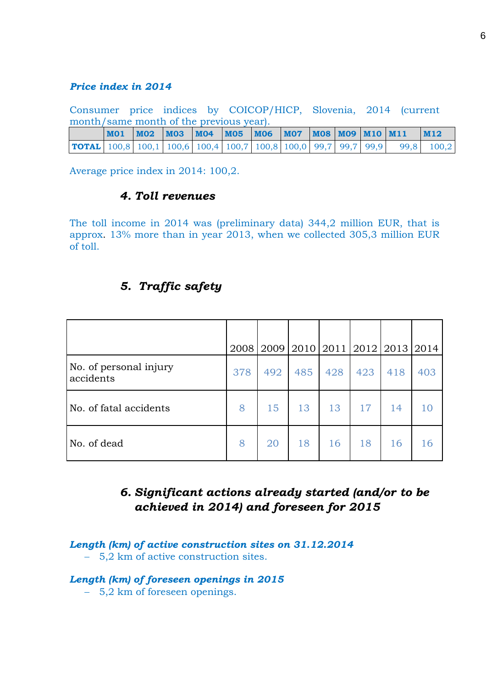#### *Price index in 2014*

Consumer price indices by COICOP/HICP, Slovenia, 2014 (current month/same month of the previous year).

|                                                                                                                                           |  | MO1   MO2   MO3   MO4   MO5   MO6   MO7   MO8   MO9   M10   M11 |  |  |  | $\blacksquare$ M12 |
|-------------------------------------------------------------------------------------------------------------------------------------------|--|-----------------------------------------------------------------|--|--|--|--------------------|
| <b>TOTAL</b> $\vert 100,8 \vert 100,1 \vert 100,6 \vert 100,4 \vert 100,7 \vert 100,8 \vert 100,0 \vert 99,7 \vert 99,7 \vert 99,9 \vert$ |  |                                                                 |  |  |  | 99,8 100,2         |

Average price index in 2014: 100,2.

### *4. Toll revenues*

The toll income in 2014 was (preliminary data) 344,2 million EUR, that is approx. 13% more than in year 2013, when we collected 305,3 million EUR of toll.

## *5. Traffic safety*

|                                     |     |     | 2008 2009 2010 2011 2012 2013 2014 |     |     |     |     |
|-------------------------------------|-----|-----|------------------------------------|-----|-----|-----|-----|
| No. of personal injury<br>accidents | 378 | 492 | 485                                | 428 | 423 | 418 | 403 |
| No. of fatal accidents              | 8   | 15  | 13                                 | 13  | 17  | 14  | 10  |
| No. of dead                         | 8   | 20  | 18                                 | 16  | 18  | 16  | 16  |

## *6. Significant actions already started (and/or to be achieved in 2014) and foreseen for 2015*

#### *Length (km) of active construction sites on 31.12.2014* - 5,2 km of active construction sites.

#### *Length (km) of foreseen openings in 2015*

5,2 km of foreseen openings.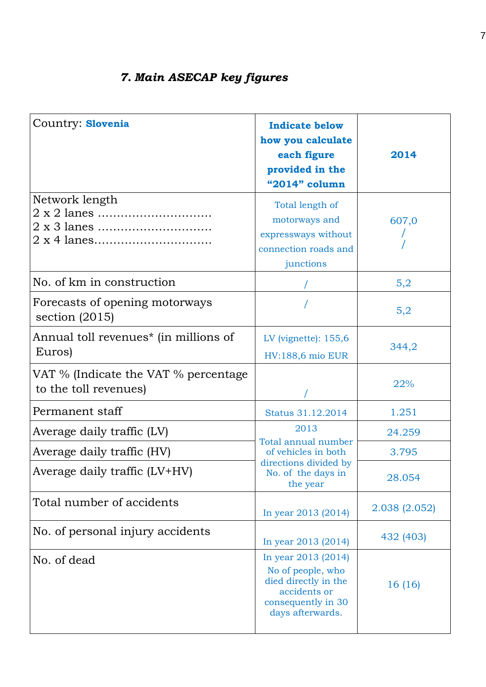| Country: Slovenia                                             | <b>Indicate below</b><br>how you calculate<br>each figure<br>provided in the<br>"2014" column                              | 2014          |
|---------------------------------------------------------------|----------------------------------------------------------------------------------------------------------------------------|---------------|
| Network length                                                | Total length of<br>motorways and<br>expressways without<br>connection roads and<br>junctions                               | 607,0         |
| No. of km in construction                                     |                                                                                                                            | 5,2           |
| Forecasts of opening motorways<br>section $(2015)$            |                                                                                                                            | 5,2           |
| Annual toll revenues <sup>*</sup> (in millions of<br>Euros)   | LV (vignette): $155,6$<br><b>HV:188,6 mio EUR</b>                                                                          | 344,2         |
| VAT % (Indicate the VAT % percentage<br>to the toll revenues) |                                                                                                                            | 22%           |
| Permanent staff                                               | Status 31.12.2014                                                                                                          | 1.251         |
| Average daily traffic (LV)                                    | 2013                                                                                                                       | 24.259        |
| Average daily traffic (HV)                                    | Total annual number<br>of vehicles in both                                                                                 | 3.795         |
| Average daily traffic (LV+HV)                                 | directions divided by<br>No. of the days in<br>the year                                                                    | 28.054        |
| Total number of accidents                                     | In year 2013 (2014)                                                                                                        | 2.038 (2.052) |
| No. of personal injury accidents                              | In year 2013 (2014)                                                                                                        | 432 (403)     |
| No. of dead                                                   | In year 2013 (2014)<br>No of people, who<br>died directly in the<br>accidents or<br>consequently in 30<br>days afterwards. | 16 (16)       |